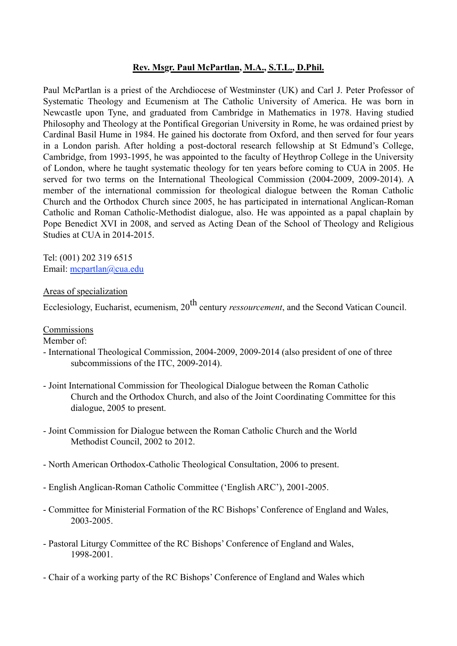## **Rev. Msgr. Paul McPartlan, M.A., S.T.L., D.Phil.**

Paul McPartlan is a priest of the Archdiocese of Westminster (UK) and Carl J. Peter Professor of Systematic Theology and Ecumenism at The Catholic University of America. He was born in Newcastle upon Tyne, and graduated from Cambridge in Mathematics in 1978. Having studied Philosophy and Theology at the Pontifical Gregorian University in Rome, he was ordained priest by Cardinal Basil Hume in 1984. He gained his doctorate from Oxford, and then served for four years in a London parish. After holding a post-doctoral research fellowship at St Edmund's College, Cambridge, from 1993-1995, he was appointed to the faculty of Heythrop College in the University of London, where he taught systematic theology for ten years before coming to CUA in 2005. He served for two terms on the International Theological Commission (2004-2009, 2009-2014). A member of the international commission for theological dialogue between the Roman Catholic Church and the Orthodox Church since 2005, he has participated in international Anglican-Roman Catholic and Roman Catholic-Methodist dialogue, also. He was appointed as a papal chaplain by Pope Benedict XVI in 2008, and served as Acting Dean of the School of Theology and Religious Studies at CUA in 2014-2015.

Tel: (001) 202 319 6515 Email: [mcpartlan@cua.edu](mailto:mcpartlan@cua.edu)

### Areas of specialization

Ecclesiology, Eucharist, ecumenism, 20th century *ressourcement*, and the Second Vatican Council.

**Commissions** 

Member of:

- International Theological Commission, 2004-2009, 2009-2014 (also president of one of three subcommissions of the ITC, 2009-2014).
- Joint International Commission for Theological Dialogue between the Roman Catholic Church and the Orthodox Church, and also of the Joint Coordinating Committee for this dialogue, 2005 to present.
- Joint Commission for Dialogue between the Roman Catholic Church and the World Methodist Council, 2002 to 2012.
- North American Orthodox-Catholic Theological Consultation, 2006 to present.
- English Anglican-Roman Catholic Committee ('English ARC'), 2001-2005.
- Committee for Ministerial Formation of the RC Bishops' Conference of England and Wales, 2003-2005.
- Pastoral Liturgy Committee of the RC Bishops' Conference of England and Wales, 1998-2001.
- Chair of a working party of the RC Bishops' Conference of England and Wales which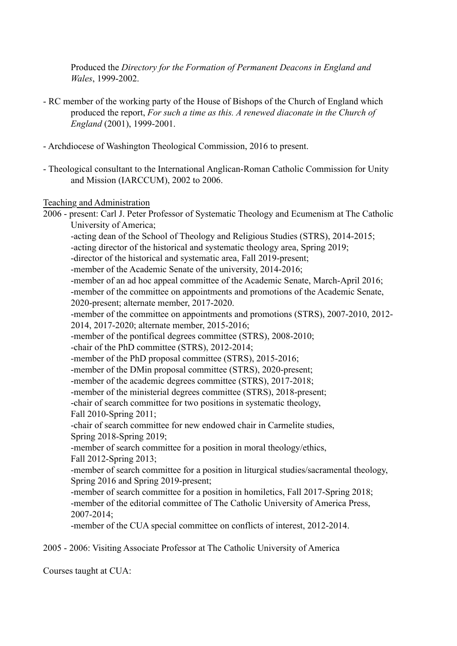Produced the *Directory for the Formation of Permanent Deacons in England and Wales*, 1999-2002.

- RC member of the working party of the House of Bishops of the Church of England which produced the report, *For such a time as this. A renewed diaconate in the Church of England* (2001), 1999-2001.
- Archdiocese of Washington Theological Commission, 2016 to present.
- Theological consultant to the International Anglican-Roman Catholic Commission for Unity and Mission (IARCCUM), 2002 to 2006.

### Teaching and Administration

2006 - present: Carl J. Peter Professor of Systematic Theology and Ecumenism at The Catholic University of America;

-acting dean of the School of Theology and Religious Studies (STRS), 2014-2015;

-acting director of the historical and systematic theology area, Spring 2019;

-director of the historical and systematic area, Fall 2019-present;

-member of the Academic Senate of the university, 2014-2016;

-member of an ad hoc appeal committee of the Academic Senate, March-April 2016; -member of the committee on appointments and promotions of the Academic Senate,

2020-present; alternate member, 2017-2020.

-member of the committee on appointments and promotions (STRS), 2007-2010, 2012- 2014, 2017-2020; alternate member, 2015-2016;

-member of the pontifical degrees committee (STRS), 2008-2010;

-chair of the PhD committee (STRS), 2012-2014;

-member of the PhD proposal committee (STRS), 2015-2016;

-member of the DMin proposal committee (STRS), 2020-present;

-member of the academic degrees committee (STRS), 2017-2018;

-member of the ministerial degrees committee (STRS), 2018-present;

-chair of search committee for two positions in systematic theology, Fall 2010-Spring 2011;

-chair of search committee for new endowed chair in Carmelite studies, Spring 2018-Spring 2019;

-member of search committee for a position in moral theology/ethics, Fall 2012-Spring 2013;

-member of search committee for a position in liturgical studies/sacramental theology, Spring 2016 and Spring 2019-present;

-member of search committee for a position in homiletics, Fall 2017-Spring 2018; -member of the editorial committee of The Catholic University of America Press, 2007-2014;

-member of the CUA special committee on conflicts of interest, 2012-2014.

2005 - 2006: Visiting Associate Professor at The Catholic University of America

Courses taught at CUA: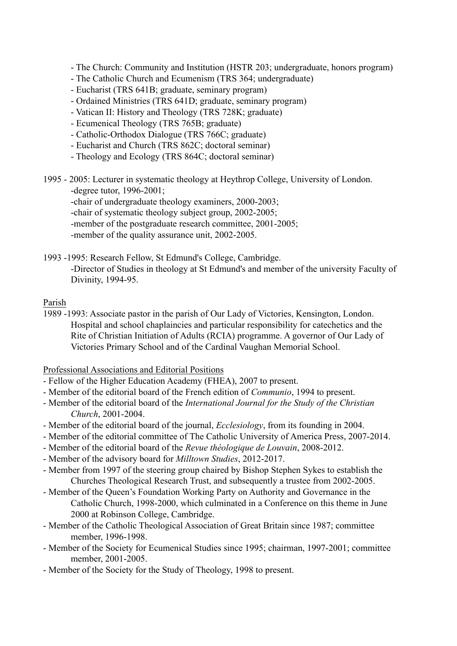- The Church: Community and Institution (HSTR 203; undergraduate, honors program)

- The Catholic Church and Ecumenism (TRS 364; undergraduate)
- Eucharist (TRS 641B; graduate, seminary program)
- Ordained Ministries (TRS 641D; graduate, seminary program)
- Vatican II: History and Theology (TRS 728K; graduate)
- Ecumenical Theology (TRS 765B; graduate)
- Catholic-Orthodox Dialogue (TRS 766C; graduate)
- Eucharist and Church (TRS 862C; doctoral seminar)
- Theology and Ecology (TRS 864C; doctoral seminar)

1995 - 2005: Lecturer in systematic theology at Heythrop College, University of London. -degree tutor, 1996-2001;

- -chair of undergraduate theology examiners, 2000-2003;
- -chair of systematic theology subject group, 2002-2005;
- -member of the postgraduate research committee, 2001-2005;
- -member of the quality assurance unit, 2002-2005.

1993 -1995: Research Fellow, St Edmund's College, Cambridge.

-Director of Studies in theology at St Edmund's and member of the university Faculty of Divinity, 1994-95.

### Parish

1989 -1993: Associate pastor in the parish of Our Lady of Victories, Kensington, London. Hospital and school chaplaincies and particular responsibility for catechetics and the Rite of Christian Initiation of Adults (RCIA) programme. A governor of Our Lady of Victories Primary School and of the Cardinal Vaughan Memorial School.

### Professional Associations and Editorial Positions

- Fellow of the Higher Education Academy (FHEA), 2007 to present.
- Member of the editorial board of the French edition of *Communio*, 1994 to present.
- Member of the editorial board of the *International Journal for the Study of the Christian Church*, 2001-2004.
- Member of the editorial board of the journal, *Ecclesiology*, from its founding in 2004.
- Member of the editorial committee of The Catholic University of America Press, 2007-2014.
- Member of the editorial board of the *Revue théologique de Louvain*, 2008-2012.
- Member of the advisory board for *Milltown Studies*, 2012-2017.
- Member from 1997 of the steering group chaired by Bishop Stephen Sykes to establish the Churches Theological Research Trust, and subsequently a trustee from 2002-2005.
- Member of the Queen's Foundation Working Party on Authority and Governance in the Catholic Church, 1998-2000, which culminated in a Conference on this theme in June 2000 at Robinson College, Cambridge.
- Member of the Catholic Theological Association of Great Britain since 1987; committee member, 1996-1998.
- Member of the Society for Ecumenical Studies since 1995; chairman, 1997-2001; committee member, 2001-2005.
- Member of the Society for the Study of Theology, 1998 to present.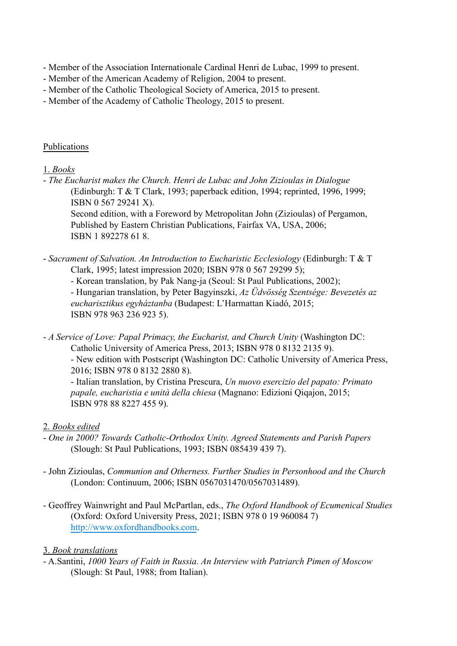- Member of the Association Internationale Cardinal Henri de Lubac, 1999 to present.

- Member of the American Academy of Religion, 2004 to present.
- Member of the Catholic Theological Society of America, 2015 to present.
- Member of the Academy of Catholic Theology, 2015 to present.

# Publications

# 1. *Books*

- *The Eucharist makes the Church. Henri de Lubac and John Zizioulas in Dialogue* (Edinburgh: T & T Clark, 1993; paperback edition, 1994; reprinted, 1996, 1999; ISBN 0 567 29241 X).

Second edition, with a Foreword by Metropolitan John (Zizioulas) of Pergamon, Published by Eastern Christian Publications, Fairfax VA, USA, 2006; ISBN 1 892278 61 8.

- *Sacrament of Salvation. An Introduction to Eucharistic Ecclesiology* (Edinburgh: T & T Clark, 1995; latest impression 2020; ISBN 978 0 567 29299 5);

- Korean translation, by Pak Nang-ja (Seoul: St Paul Publications, 2002); - Hungarian translation, by Peter Bagyinszki, *Az Üdvösség Szentsége: Bevezetés az eucharisztikus egyháztanba* (Budapest: L'Harmattan Kiadó, 2015; ISBN 978 963 236 923 5).

- *A Service of Love: Papal Primacy, the Eucharist, and Church Unity* (Washington DC: Catholic University of America Press, 2013; ISBN 978 0 8132 2135 9).

- New edition with Postscript (Washington DC: Catholic University of America Press, 2016; ISBN 978 0 8132 2880 8).

- Italian translation, by Cristina Prescura, *Un nuovo esercizio del papato: Primato papale, eucharistia e unità della chiesa* (Magnano: Edizioni Qiqajon, 2015; ISBN 978 88 8227 455 9).

# 2. *Books edited*

- *One in 2000? Towards Catholic-Orthodox Unity. Agreed Statements and Parish Papers* (Slough: St Paul Publications, 1993; ISBN 085439 439 7).
- John Zizioulas, *Communion and Otherness. Further Studies in Personhood and the Church* (London: Continuum, 2006; ISBN 0567031470/0567031489).
- Geoffrey Wainwright and Paul McPartlan, eds., *The Oxford Handbook of Ecumenical Studies* (Oxford: Oxford University Press, 2021; ISBN 978 0 19 960084 7) http://www.oxfordhandbooks.com.

# 3. *Book translations*

- A.Santini, *1000 Years of Faith in Russia. An Interview with Patriarch Pimen of Moscow* (Slough: St Paul, 1988; from Italian).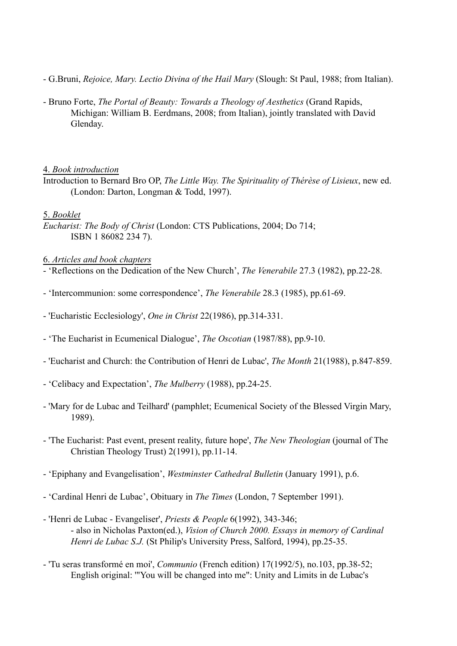- G.Bruni, *Rejoice, Mary. Lectio Divina of the Hail Mary* (Slough: St Paul, 1988; from Italian).
- Bruno Forte, *The Portal of Beauty: Towards a Theology of Aesthetics* (Grand Rapids, Michigan: William B. Eerdmans, 2008; from Italian), jointly translated with David Glenday.

### 4. *Book introduction*

Introduction to Bernard Bro OP, *The Little Way. The Spirituality of Thérèse of Lisieux*, new ed. (London: Darton, Longman & Todd, 1997).

# 5. *Booklet*

*Eucharist: The Body of Christ* (London: CTS Publications, 2004; Do 714; ISBN 1 86082 234 7).

## 6. *Articles and book chapters*

- 'Reflections on the Dedication of the New Church', *The Venerabile* 27.3 (1982), pp.22-28.
- 'Intercommunion: some correspondence', *The Venerabile* 28.3 (1985), pp.61-69.
- 'Eucharistic Ecclesiology', *One in Christ* 22(1986), pp.314-331.
- 'The Eucharist in Ecumenical Dialogue', *The Oscotian* (1987/88), pp.9-10.
- 'Eucharist and Church: the Contribution of Henri de Lubac', *The Month* 21(1988), p.847-859.
- 'Celibacy and Expectation', *The Mulberry* (1988), pp.24-25.
- 'Mary for de Lubac and Teilhard' (pamphlet; Ecumenical Society of the Blessed Virgin Mary, 1989).
- 'The Eucharist: Past event, present reality, future hope', *The New Theologian* (journal of The Christian Theology Trust) 2(1991), pp.11-14.
- 'Epiphany and Evangelisation', *Westminster Cathedral Bulletin* (January 1991), p.6.
- 'Cardinal Henri de Lubac', Obituary in *The Times* (London, 7 September 1991).
- 'Henri de Lubac Evangeliser', *Priests & People* 6(1992), 343-346; - also in Nicholas Paxton(ed.), *Vision of Church 2000. Essays in memory of Cardinal Henri de Lubac S.J.* (St Philip's University Press, Salford, 1994), pp.25-35.
- 'Tu seras transformé en moi', *Communio* (French edition) 17(1992/5), no.103, pp.38-52; English original: '"You will be changed into me": Unity and Limits in de Lubac's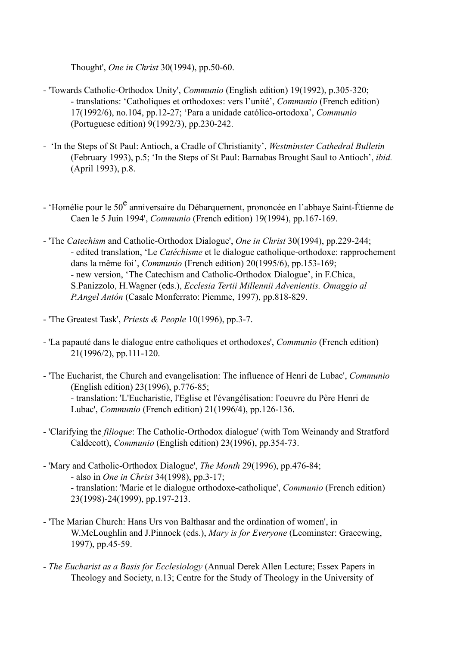Thought', *One in Christ* 30(1994), pp.50-60.

- 'Towards Catholic-Orthodox Unity', *Communio* (English edition) 19(1992), p.305-320; - translations: 'Catholiques et orthodoxes: vers l'unité', *Communio* (French edition) 17(1992/6), no.104, pp.12-27; 'Para a unidade católico-ortodoxa', *Communio* (Portuguese edition) 9(1992/3), pp.230-242.
- 'In the Steps of St Paul: Antioch, a Cradle of Christianity', *Westminster Cathedral Bulletin* (February 1993), p.5; 'In the Steps of St Paul: Barnabas Brought Saul to Antioch', *ibid.* (April 1993), p.8.
- 'Homélie pour le 50<sup>e</sup> anniversaire du Débarquement, prononcée en l'abbaye Saint-Étienne de Caen le 5 Juin 1994', *Communio* (French edition) 19(1994), pp.167-169.
- 'The *Catechism* and Catholic-Orthodox Dialogue', *One in Christ* 30(1994), pp.229-244; - edited translation, 'Le *Catéchisme* et le dialogue catholique-orthodoxe: rapprochement dans la même foi', *Communio* (French edition) 20(1995/6), pp.153-169; - new version, 'The Catechism and Catholic-Orthodox Dialogue', in F.Chica, S.Panizzolo, H.Wagner (eds.), *Ecclesia Tertii Millennii Advenientis. Omaggio al P.Angel Antón* (Casale Monferrato: Piemme, 1997), pp.818-829.
- 'The Greatest Task', *Priests & People* 10(1996), pp.3-7.
- 'La papauté dans le dialogue entre catholiques et orthodoxes', *Communio* (French edition) 21(1996/2), pp.111-120.
- 'The Eucharist, the Church and evangelisation: The influence of Henri de Lubac', *Communio* (English edition) 23(1996), p.776-85; - translation: 'L'Eucharistie, l'Eglise et l'évangélisation: l'oeuvre du Père Henri de Lubac', *Communio* (French edition) 21(1996/4), pp.126-136.
- 'Clarifying the *filioque*: The Catholic-Orthodox dialogue' (with Tom Weinandy and Stratford Caldecott), *Communio* (English edition) 23(1996), pp.354-73.
- 'Mary and Catholic-Orthodox Dialogue', *The Month* 29(1996), pp.476-84; - also in *One in Christ* 34(1998), pp.3-17; - translation: 'Marie et le dialogue orthodoxe-catholique', *Communio* (French edition) 23(1998)-24(1999), pp.197-213.
- 'The Marian Church: Hans Urs von Balthasar and the ordination of women', in W.McLoughlin and J.Pinnock (eds.), *Mary is for Everyone* (Leominster: Gracewing, 1997), pp.45-59.
- *The Eucharist as a Basis for Ecclesiology* (Annual Derek Allen Lecture; Essex Papers in Theology and Society, n.13; Centre for the Study of Theology in the University of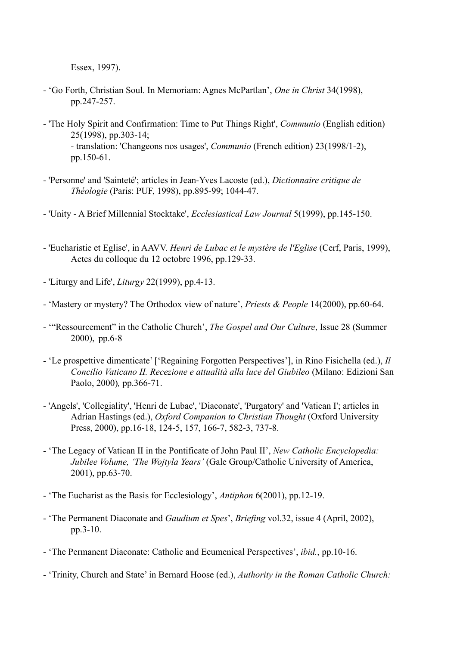Essex, 1997).

- 'Go Forth, Christian Soul. In Memoriam: Agnes McPartlan', *One in Christ* 34(1998), pp.247-257.
- 'The Holy Spirit and Confirmation: Time to Put Things Right', *Communio* (English edition) 25(1998), pp.303-14; - translation: 'Changeons nos usages', *Communio* (French edition) 23(1998/1-2), pp.150-61.
- 'Personne' and 'Sainteté'; articles in Jean-Yves Lacoste (ed.), *Dictionnaire critique de Théologie* (Paris: PUF, 1998), pp.895-99; 1044-47.
- 'Unity A Brief Millennial Stocktake', *Ecclesiastical Law Journal* 5(1999), pp.145-150.
- 'Eucharistie et Eglise', in AAVV. *Henri de Lubac et le mystère de l'Eglise* (Cerf, Paris, 1999), Actes du colloque du 12 octobre 1996, pp.129-33.
- 'Liturgy and Life', *Liturgy* 22(1999), pp.4-13.
- 'Mastery or mystery? The Orthodox view of nature', *Priests & People* 14(2000), pp.60-64.
- '"Ressourcement" in the Catholic Church', *The Gospel and Our Culture*, Issue 28 (Summer 2000), pp.6-8
- 'Le prospettive dimenticate' ['Regaining Forgotten Perspectives'], in Rino Fisichella (ed.), *Il Concilio Vaticano II. Recezione e attualità alla luce del Giubileo* (Milano: Edizioni San Paolo, 2000)*,* pp.366-71.
- 'Angels', 'Collegiality', 'Henri de Lubac', 'Diaconate', 'Purgatory' and 'Vatican I'; articles in Adrian Hastings (ed.), *Oxford Companion to Christian Thought* (Oxford University Press, 2000), pp.16-18, 124-5, 157, 166-7, 582-3, 737-8.
- 'The Legacy of Vatican II in the Pontificate of John Paul II', *New Catholic Encyclopedia: Jubilee Volume, 'The Wojtyla Years'* (Gale Group/Catholic University of America, 2001), pp.63-70.
- 'The Eucharist as the Basis for Ecclesiology', *Antiphon* 6(2001), pp.12-19.
- 'The Permanent Diaconate and *Gaudium et Spes*', *Briefing* vol.32, issue 4 (April, 2002), pp.3-10.
- 'The Permanent Diaconate: Catholic and Ecumenical Perspectives', *ibid.*, pp.10-16.
- 'Trinity, Church and State' in Bernard Hoose (ed.), *Authority in the Roman Catholic Church:*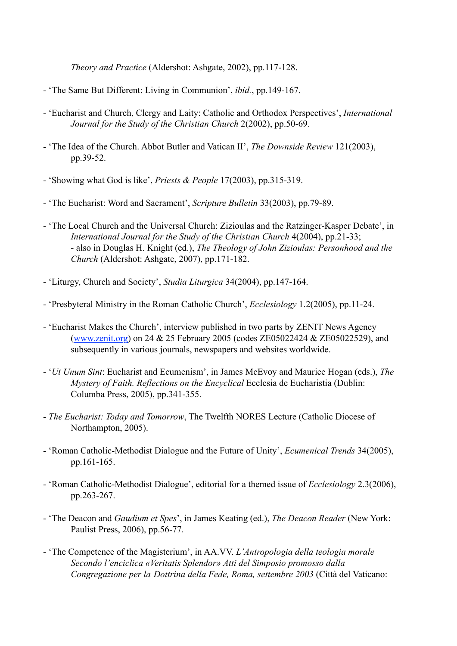*Theory and Practice* (Aldershot: Ashgate, 2002), pp.117-128.

- 'The Same But Different: Living in Communion', *ibid.*, pp.149-167.
- 'Eucharist and Church, Clergy and Laity: Catholic and Orthodox Perspectives', *International Journal for the Study of the Christian Church* 2(2002), pp.50-69.
- 'The Idea of the Church. Abbot Butler and Vatican II', *The Downside Review* 121(2003), pp.39-52.
- 'Showing what God is like', *Priests & People* 17(2003), pp.315-319.
- 'The Eucharist: Word and Sacrament', *Scripture Bulletin* 33(2003), pp.79-89.
- 'The Local Church and the Universal Church: Zizioulas and the Ratzinger-Kasper Debate', in *International Journal for the Study of the Christian Church* 4(2004), pp.21-33; - also in Douglas H. Knight (ed.), *The Theology of John Zizioulas: Personhood and the Church* (Aldershot: Ashgate, 2007), pp.171-182.
- 'Liturgy, Church and Society', *Studia Liturgica* 34(2004), pp.147-164.
- 'Presbyteral Ministry in the Roman Catholic Church', *Ecclesiology* 1.2(2005), pp.11-24.
- 'Eucharist Makes the Church', interview published in two parts by ZENIT News Agency [\(www.zenit.org\)](http://www.Zenit.org)) on 24 & 25 February 2005 (codes ZE05022424 & ZE05022529), and subsequently in various journals, newspapers and websites worldwide.
- '*Ut Unum Sint*: Eucharist and Ecumenism', in James McEvoy and Maurice Hogan (eds.), *The Mystery of Faith. Reflections on the Encyclical* Ecclesia de Eucharistia (Dublin: Columba Press, 2005), pp.341-355.
- *The Eucharist: Today and Tomorrow*, The Twelfth NORES Lecture (Catholic Diocese of Northampton, 2005).
- 'Roman Catholic-Methodist Dialogue and the Future of Unity', *Ecumenical Trends* 34(2005), pp.161-165.
- 'Roman Catholic-Methodist Dialogue', editorial for a themed issue of *Ecclesiology* 2.3(2006), pp.263-267.
- 'The Deacon and *Gaudium et Spes*', in James Keating (ed.), *The Deacon Reader* (New York: Paulist Press, 2006), pp.56-77.
- 'The Competence of the Magisterium', in AA.VV. *L'Antropologia della teologia morale Secondo l'enciclica «Veritatis Splendor» Atti del Simposio promosso dalla Congregazione per la Dottrina della Fede, Roma, settembre 2003* (Città del Vaticano: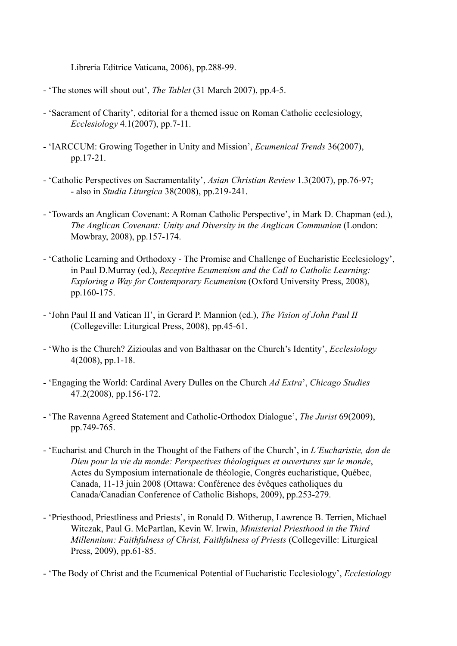Libreria Editrice Vaticana, 2006), pp.288-99.

- 'The stones will shout out', *The Tablet* (31 March 2007), pp.4-5.
- 'Sacrament of Charity', editorial for a themed issue on Roman Catholic ecclesiology, *Ecclesiology* 4.1(2007), pp.7-11.
- 'IARCCUM: Growing Together in Unity and Mission', *Ecumenical Trends* 36(2007), pp.17-21.
- 'Catholic Perspectives on Sacramentality', *Asian Christian Review* 1.3(2007), pp.76-97; - also in *Studia Liturgica* 38(2008), pp.219-241.
- 'Towards an Anglican Covenant: A Roman Catholic Perspective', in Mark D. Chapman (ed.), *The Anglican Covenant: Unity and Diversity in the Anglican Communion* (London: Mowbray, 2008), pp.157-174.
- 'Catholic Learning and Orthodoxy The Promise and Challenge of Eucharistic Ecclesiology', in Paul D.Murray (ed.), *Receptive Ecumenism and the Call to Catholic Learning: Exploring a Way for Contemporary Ecumenism* (Oxford University Press, 2008), pp.160-175.
- 'John Paul II and Vatican II', in Gerard P. Mannion (ed.), *The Vision of John Paul II* (Collegeville: Liturgical Press, 2008), pp.45-61.
- 'Who is the Church? Zizioulas and von Balthasar on the Church's Identity', *Ecclesiology* 4(2008), pp.1-18.
- 'Engaging the World: Cardinal Avery Dulles on the Church *Ad Extra*', *Chicago Studies* 47.2(2008), pp.156-172.
- 'The Ravenna Agreed Statement and Catholic-Orthodox Dialogue', *The Jurist* 69(2009), pp.749-765.
- 'Eucharist and Church in the Thought of the Fathers of the Church', in *L'Eucharistie, don de Dieu pour la vie du monde: Perspectives théologiques et ouvertures sur le monde*, Actes du Symposium internationale de théologie, Congrès eucharistique, Québec, Canada, 11-13 juin 2008 (Ottawa: Conférence des évêques catholiques du Canada/Canadian Conference of Catholic Bishops, 2009), pp.253-279.
- 'Priesthood, Priestliness and Priests', in Ronald D. Witherup, Lawrence B. Terrien, Michael Witczak, Paul G. McPartlan, Kevin W. Irwin, *Ministerial Priesthood in the Third Millennium: Faithfulness of Christ, Faithfulness of Priests* (Collegeville: Liturgical Press, 2009), pp.61-85.

- 'The Body of Christ and the Ecumenical Potential of Eucharistic Ecclesiology', *Ecclesiology*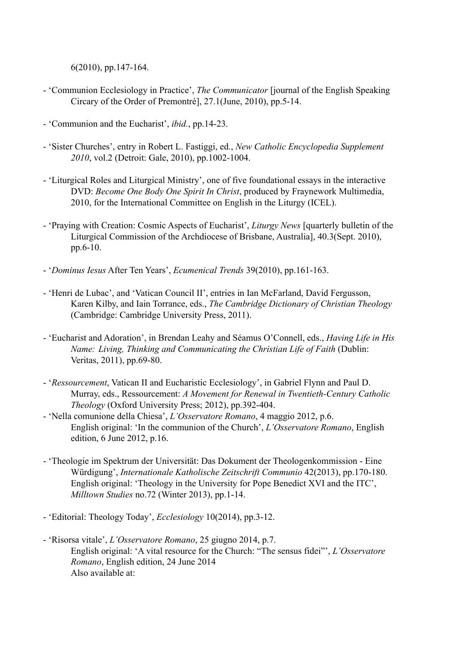6(2010), pp.147-164.

- 'Communion Ecclesiology in Practice', *The Communicator* [journal of the English Speaking Circary of the Order of Premontré], 27.1(June, 2010), pp.5-14.
- 'Communion and the Eucharist', *ibid.*, pp.14-23.
- 'Sister Churches', entry in Robert L. Fastiggi, ed., *New Catholic Encyclopedia Supplement 2010*, vol.2 (Detroit: Gale, 2010), pp.1002-1004.
- 'Liturgical Roles and Liturgical Ministry', one of five foundational essays in the interactive DVD: *Become One Body One Spirit In Christ*, produced by Fraynework Multimedia, 2010, for the International Committee on English in the Liturgy (ICEL).
- 'Praying with Creation: Cosmic Aspects of Eucharist', *Liturgy News* [quarterly bulletin of the Liturgical Commission of the Archdiocese of Brisbane, Australia], 40.3(Sept. 2010), pp.6-10.
- '*Dominus Iesus* After Ten Years', *Ecumenical Trends* 39(2010), pp.161-163.
- 'Henri de Lubac', and 'Vatican Council II', entries in Ian McFarland, David Fergusson, Karen Kilby, and Iain Torrance, eds., *The Cambridge Dictionary of Christian Theology* (Cambridge: Cambridge University Press, 2011).
- 'Eucharist and Adoration', in Brendan Leahy and Séamus O'Connell, eds., *Having Life in His Name: Living, Thinking and Communicating the Christian Life of Faith* (Dublin: Veritas, 2011), pp.69-80.
- '*Ressourcement*, Vatican II and Eucharistic Ecclesiology', in Gabriel Flynn and Paul D. Murray, eds., Ressourcement: *A Movement for Renewal in Twentieth-Century Catholic Theology* (Oxford University Press; 2012), pp.392-404.
- 'Nella comunione della Chiesa', *L'Osservatore Romano*, 4 maggio 2012, p.6. English original: 'In the communion of the Church', *L'Osservatore Romano*, English edition, 6 June 2012, p.16.
- 'Theologie im Spektrum der Universität: Das Dokument der Theologenkommission Eine Würdigung', *Internationale Katholische Zeitschrift Communio* 42(2013), pp.170-180. English original: 'Theology in the University for Pope Benedict XVI and the ITC', *Milltown Studies* no.72 (Winter 2013), pp.1-14.
- 'Editorial: Theology Today', *Ecclesiology* 10(2014), pp.3-12.
- 'Risorsa vitale', *L'Osservatore Romano*, 25 giugno 2014, p.7. English original: 'A vital resource for the Church: "The sensus fidei"', *L'Osservatore Romano*, English edition, 24 June 2014 Also available at: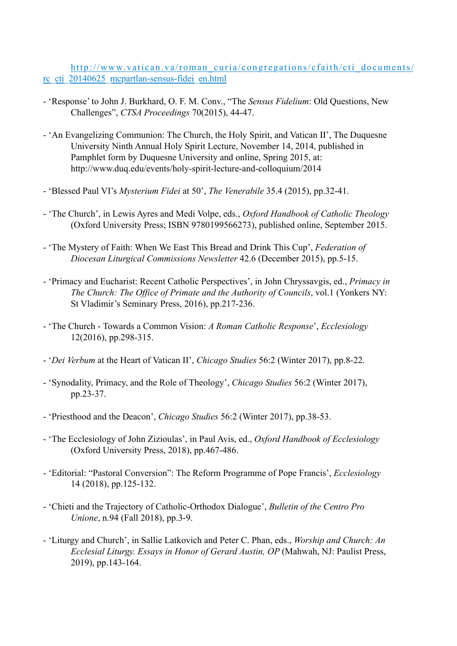http://www.vatican.va/roman\_curia/congregations/cfaith/cti\_documents/ rc\_cti\_20140625\_mcpartlan-sensus-fidei\_en.html

- 'Response' to John J. Burkhard, O. F. M. Conv., "The *Sensus Fidelium*: Old Questions, New Challenges", *CTSA Proceedings* 70(2015), 44-47.
- 'An Evangelizing Communion: The Church, the Holy Spirit, and Vatican II', The Duquesne University Ninth Annual Holy Spirit Lecture, November 14, 2014, published in Pamphlet form by Duquesne University and online, Spring 2015, at: http://www.duq.edu/events/holy-spirit-lecture-and-colloquium/2014
- 'Blessed Paul VI's *Mysterium Fidei* at 50', *The Venerabile* 35.4 (2015), pp.32-41.
- 'The Church', in Lewis Ayres and Medi Volpe, eds., *Oxford Handbook of Catholic Theology* (Oxford University Press; ISBN 9780199566273), published online, September 2015.
- 'The Mystery of Faith: When We East This Bread and Drink This Cup', *Federation of Diocesan Liturgical Commissions Newsletter* 42.6 (December 2015), pp.5-15.
- 'Primacy and Eucharist: Recent Catholic Perspectives', in John Chryssavgis, ed., *Primacy in The Church: The Office of Primate and the Authority of Councils*, vol.1 (Yonkers NY: St Vladimir's Seminary Press, 2016), pp.217-236.
- 'The Church Towards a Common Vision: *A Roman Catholic Response*', *Ecclesiology*  12(2016), pp.298-315.
- '*Dei Verbum* at the Heart of Vatican II', *Chicago Studies* 56:2 (Winter 2017), pp.8-22.
- 'Synodality, Primacy, and the Role of Theology', *Chicago Studies* 56:2 (Winter 2017), pp.23-37.
- 'Priesthood and the Deacon', *Chicago Studies* 56:2 (Winter 2017), pp.38-53.
- 'The Ecclesiology of John Zizioulas', in Paul Avis, ed., *Oxford Handbook of Ecclesiology* (Oxford University Press, 2018), pp.467-486.
- 'Editorial: "Pastoral Conversion": The Reform Programme of Pope Francis', *Ecclesiology*  14 (2018), pp.125-132.
- 'Chieti and the Trajectory of Catholic-Orthodox Dialogue', *Bulletin of the Centro Pro Unione*, n.94 (Fall 2018), pp.3-9.
- 'Liturgy and Church', in Sallie Latkovich and Peter C. Phan, eds., *Worship and Church: An Ecclesial Liturgy. Essays in Honor of Gerard Austin, OP* (Mahwah, NJ: Paulist Press, 2019), pp.143-164.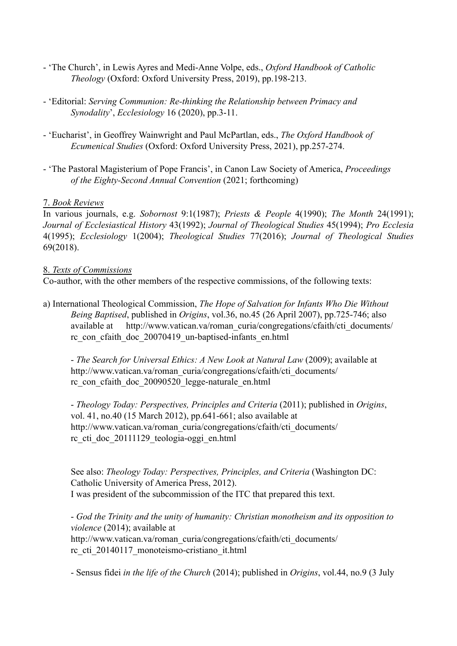- 'The Church', in Lewis Ayres and Medi-Anne Volpe, eds., *Oxford Handbook of Catholic Theology* (Oxford: Oxford University Press, 2019), pp.198-213.
- 'Editorial: *Serving Communion: Re-thinking the Relationship between Primacy and Synodality*', *Ecclesiology* 16 (2020), pp.3-11.
- 'Eucharist', in Geoffrey Wainwright and Paul McPartlan, eds., *The Oxford Handbook of Ecumenical Studies* (Oxford: Oxford University Press, 2021), pp.257-274.
- 'The Pastoral Magisterium of Pope Francis', in Canon Law Society of America, *Proceedings of the Eighty-Second Annual Convention* (2021; forthcoming)

## 7. *Book Reviews*

In various journals, e.g. *Sobornost* 9:1(1987); *Priests & People* 4(1990); *The Month* 24(1991); *Journal of Ecclesiastical History* 43(1992); *Journal of Theological Studies* 45(1994); *Pro Ecclesia* 4(1995); *Ecclesiology* 1(2004); *Theological Studies* 77(2016); *Journal of Theological Studies* 69(2018).

### 8. *Texts of Commissions*

Co-author, with the other members of the respective commissions, of the following texts:

a) International Theological Commission, *The Hope of Salvation for Infants Who Die Without Being Baptised*, published in *Origins*, vol.36, no.45 (26 April 2007), pp.725-746; also available at http://www.vatican.va/roman\_curia/congregations/cfaith/cti\_documents/ rc\_con\_cfaith\_doc\_20070419\_un-baptised-infants\_en.html

- *The Search for Universal Ethics: A New Look at Natural Law* (2009); available at http://www.vatican.va/roman\_curia/congregations/cfaith/cti\_documents/ rc\_con\_cfaith\_doc\_20090520\_legge-naturale\_en.html

- *Theology Today: Perspectives, Principles and Criteria* (2011); published in *Origins*, vol. 41, no.40 (15 March 2012), pp.641-661; also available at http://www.vatican.va/roman\_curia/congregations/cfaith/cti\_documents/ rc\_cti\_doc\_20111129\_teologia-oggi\_en.html

See also: *Theology Today: Perspectives, Principles, and Criteria* (Washington DC: Catholic University of America Press, 2012). I was president of the subcommission of the ITC that prepared this text.

- *God the Trinity and the unity of humanity: Christian monotheism and its opposition to violence* (2014); available at http://www.vatican.va/roman\_curia/congregations/cfaith/cti\_documents/ rc\_cti\_20140117\_monoteismo-cristiano\_it.html

- Sensus fidei *in the life of the Church* (2014); published in *Origins*, vol.44, no.9 (3 July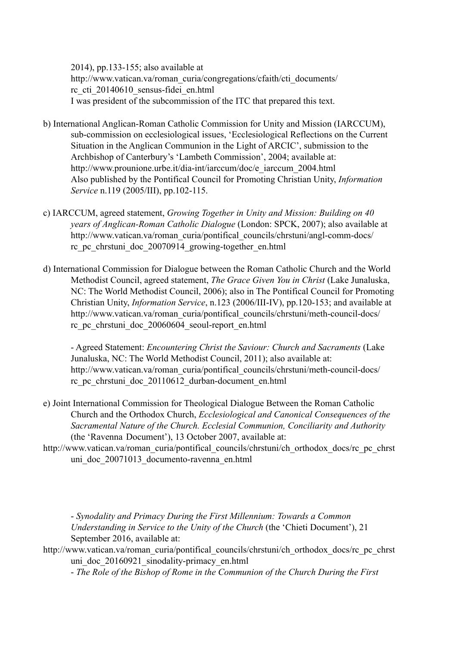2014), pp.133-155; also available at http://www.vatican.va/roman\_curia/congregations/cfaith/cti\_documents/ rc\_cti\_20140610\_sensus-fidei\_en.html I was president of the subcommission of the ITC that prepared this text.

- b) International Anglican-Roman Catholic Commission for Unity and Mission (IARCCUM), sub-commission on ecclesiological issues, 'Ecclesiological Reflections on the Current Situation in the Anglican Communion in the Light of ARCIC', submission to the Archbishop of Canterbury's 'Lambeth Commission', 2004; available at: http://www.prounione.urbe.it/dia-int/iarccum/doc/e\_iarccum\_2004.html Also published by the Pontifical Council for Promoting Christian Unity, *Information Service* n.119 (2005/III), pp.102-115.
- c) IARCCUM, agreed statement, *Growing Together in Unity and Mission: Building on 40 years of Anglican-Roman Catholic Dialogue* (London: SPCK, 2007); also available at http://www.vatican.va/roman\_curia/pontifical\_councils/chrstuni/angl-comm-docs/ rc\_pc\_chrstuni\_doc\_20070914\_growing-together\_en.html
- d) International Commission for Dialogue between the Roman Catholic Church and the World Methodist Council, agreed statement, *The Grace Given You in Christ* (Lake Junaluska, NC: The World Methodist Council, 2006); also in The Pontifical Council for Promoting Christian Unity, *Information Service*, n.123 (2006/III-IV), pp.120-153; and available at http://www.vatican.va/roman\_curia/pontifical\_councils/chrstuni/meth-council-docs/ rc\_pc\_chrstuni\_doc\_20060604\_seoul-report\_en.html

- Agreed Statement: *Encountering Christ the Saviour: Church and Sacraments* (Lake Junaluska, NC: The World Methodist Council, 2011); also available at: http://www.vatican.va/roman\_curia/pontifical\_councils/chrstuni/meth-council-docs/ rc\_pc\_chrstuni\_doc\_20110612\_durban-document\_en.html

- e) Joint International Commission for Theological Dialogue Between the Roman Catholic Church and the Orthodox Church, *Ecclesiological and Canonical Consequences of the Sacramental Nature of the Church. Ecclesial Communion, Conciliarity and Authority*  (the 'Ravenna Document'), 13 October 2007, available at:
- http://www.vatican.va/roman\_curia/pontifical\_councils/chrstuni/ch\_orthodox\_docs/rc\_pc\_chrst uni doc 20071013 documento-ravenna en.html

- *Synodality and Primacy During the First Millennium: Towards a Common Understanding in Service to the Unity of the Church* (the 'Chieti Document'), 21 September 2016, available at:

http://www.vatican.va/roman\_curia/pontifical\_councils/chrstuni/ch\_orthodox\_docs/rc\_pc\_chrst uni doc 20160921 sinodality-primacy en.html

- *The Role of the Bishop of Rome in the Communion of the Church During the First*